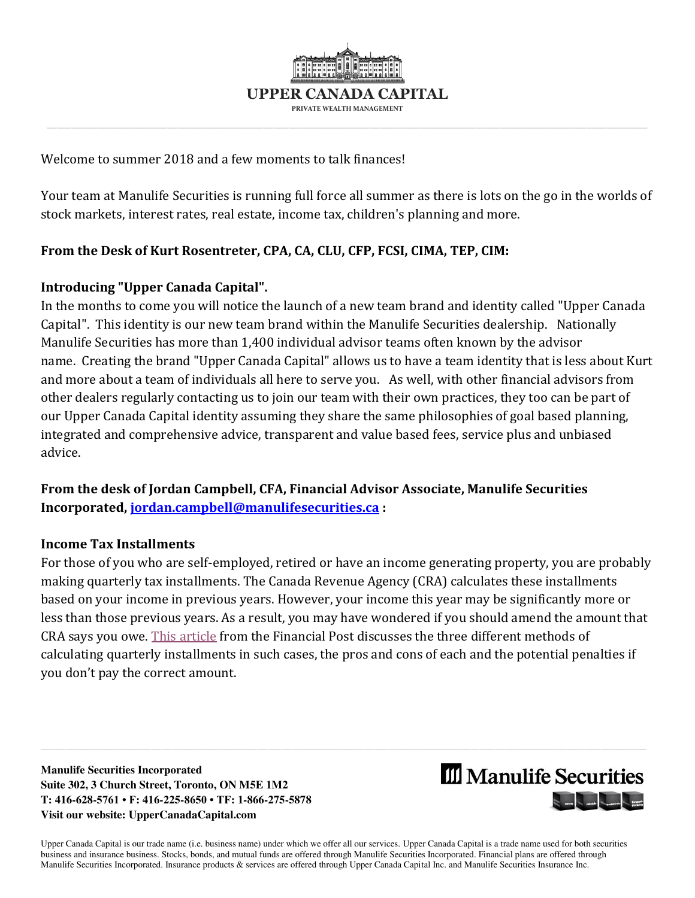

Welcome to summer 2018 and a few moments to talk finances!

Your team at Manulife Securities is running full force all summer as there is lots on the go in the worlds of stock markets, interest rates, real estate, income tax, children's planning and more.

# **From the Desk of Kurt Rosentreter, CPA, CA, CLU, CFP, FCSI, CIMA, TEP, CIM:**

## **Introducing "Upper Canada Capital".**

In the months to come you will notice the launch of a new team brand and identity called "Upper Canada Capital". This identity is our new team brand within the Manulife Securities dealership. Nationally Manulife Securities has more than 1,400 individual advisor teams often known by the advisor name. Creating the brand "Upper Canada Capital" allows us to have a team identity that is less about Kurt and more about a team of individuals all here to serve you. As well, with other financial advisors from other dealers regularly contacting us to join our team with their own practices, they too can be part of our Upper Canada Capital identity assuming they share the same philosophies of goal based planning, integrated and comprehensive advice, transparent and value based fees, service plus and unbiased advice.

**From the desk of Jordan Campbell, CFA, Financial Advisor Associate, Manulife Securities Incorporated[, jordan.campbell@manulifesecurities.ca](mailto:jordan.campbell@manulifesecurities.ca) :** 

## **Income Tax Installments**

For those of you who are self-employed, retired or have an income generating property, you are probably making quarterly tax installments. The Canada Revenue Agency (CRA) calculates these installments based on your income in previous years. However, your income this year may be significantly more or less than those previous years. As a result, you may have wondered if you should amend the amount that CRA says you owe. [This article](https://business.financialpost.com/personal-finance/taxes/everything-you-need-to-know-about-paying-taxes-by-instalments-and-why-ignoring-the-cras-reminders-is-a-bad-idea) from the Financial Post discusses the three different methods of calculating quarterly installments in such cases, the pros and cons of each and the potential penalties if you don't pay the correct amount.

\_\_\_\_\_\_\_\_\_\_\_\_\_\_\_\_\_\_\_\_\_\_\_\_\_\_\_\_\_\_\_\_\_\_\_\_\_\_\_\_\_\_\_\_\_\_\_\_\_\_\_\_\_\_\_\_\_\_\_\_\_\_\_\_\_\_\_\_\_\_\_\_\_\_\_\_\_\_\_\_\_\_\_\_\_\_\_\_\_\_\_\_\_\_\_\_\_\_\_\_\_\_\_\_\_\_\_\_\_\_\_\_\_\_\_\_\_\_\_\_

**Manulife Securities Incorporated Suite 302, 3 Church Street, Toronto, ON M5E 1M2 T: 416-628-5761 • F: 416-225-8650 • TF: 1-866-275-5878 Visit our website: UpperCanadaCapital.com** 



Upper Canada Capital is our trade name (i.e. business name) under which we offer all our services. Upper Canada Capital is a trade name used for both securities business and insurance business. Stocks, bonds, and mutual funds are offered through Manulife Securities Incorporated. Financial plans are offered through Manulife Securities Incorporated. Insurance products & services are offered through Upper Canada Capital Inc. and Manulife Securities Insurance Inc.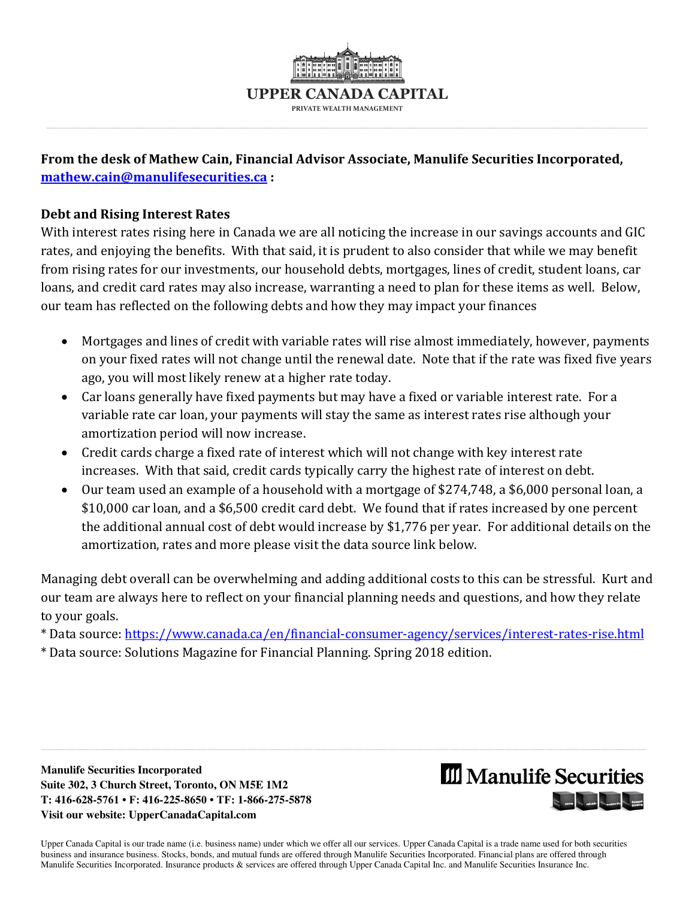

# **From the desk of Mathew Cain, Financial Advisor Associate, Manulife Securities Incorporated, [mathew.cain@manulifesecurities.ca](mailto:mathew.cain@manulifesecurities.ca) :**

## **Debt and Rising Interest Rates**

With interest rates rising here in Canada we are all noticing the increase in our savings accounts and GIC rates, and enjoying the benefits. With that said, it is prudent to also consider that while we may benefit from rising rates for our investments, our household debts, mortgages, lines of credit, student loans, car loans, and credit card rates may also increase, warranting a need to plan for these items as well. Below, our team has reflected on the following debts and how they may impact your finances

- Mortgages and lines of credit with variable rates will rise almost immediately, however, payments on your fixed rates will not change until the renewal date. Note that if the rate was fixed five years ago, you will most likely renew at a higher rate today.
- Car loans generally have fixed payments but may have a fixed or variable interest rate. For a variable rate car loan, your payments will stay the same as interest rates rise although your amortization period will now increase.
- Credit cards charge a fixed rate of interest which will not change with key interest rate increases. With that said, credit cards typically carry the highest rate of interest on debt.
- Our team used an example of a household with a mortgage of \$274,748, a \$6,000 personal loan, a \$10,000 car loan, and a \$6,500 credit card debt. We found that if rates increased by one percent the additional annual cost of debt would increase by \$1,776 per year. For additional details on the amortization, rates and more please visit the data source link below.

Managing debt overall can be overwhelming and adding additional costs to this can be stressful. Kurt and our team are always here to reflect on your financial planning needs and questions, and how they relate to your goals.

\* Data source:<https://www.canada.ca/en/financial-consumer-agency/services/interest-rates-rise.html>

\_\_\_\_\_\_\_\_\_\_\_\_\_\_\_\_\_\_\_\_\_\_\_\_\_\_\_\_\_\_\_\_\_\_\_\_\_\_\_\_\_\_\_\_\_\_\_\_\_\_\_\_\_\_\_\_\_\_\_\_\_\_\_\_\_\_\_\_\_\_\_\_\_\_\_\_\_\_\_\_\_\_\_\_\_\_\_\_\_\_\_\_\_\_\_\_\_\_\_\_\_\_\_\_\_\_\_\_\_\_\_\_\_\_\_\_\_\_\_\_

\* Data source: Solutions Magazine for Financial Planning. Spring 2018 edition.

**Manulife Securities Incorporated Suite 302, 3 Church Street, Toronto, ON M5E 1M2 T: 416-628-5761 • F: 416-225-8650 • TF: 1-866-275-5878 Visit our website: UpperCanadaCapital.com** 



Upper Canada Capital is our trade name (i.e. business name) under which we offer all our services. Upper Canada Capital is a trade name used for both securities business and insurance business. Stocks, bonds, and mutual funds are offered through Manulife Securities Incorporated. Financial plans are offered through Manulife Securities Incorporated. Insurance products & services are offered through Upper Canada Capital Inc. and Manulife Securities Insurance Inc.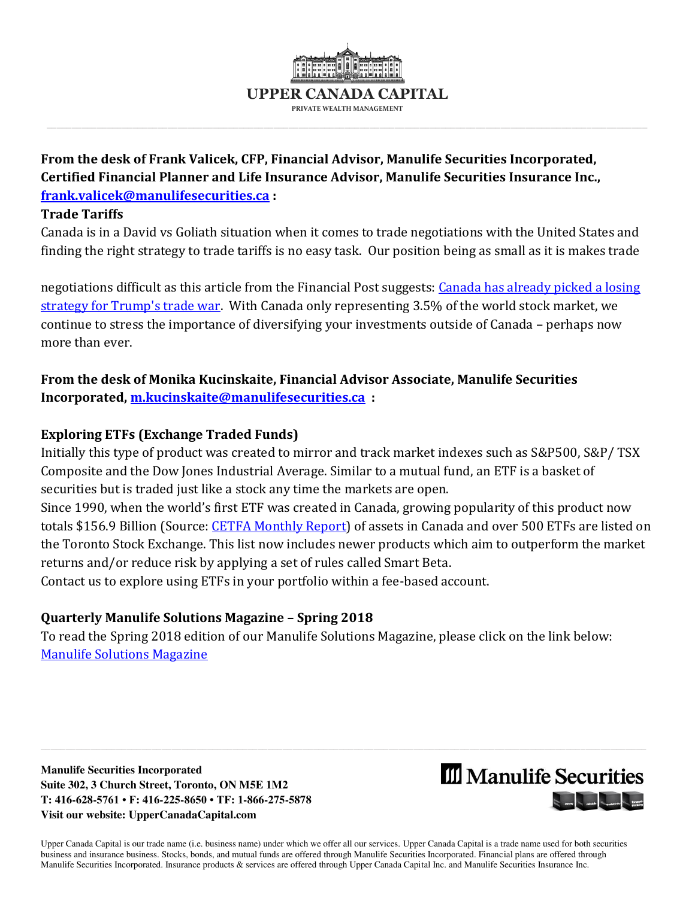

**From the desk of Frank Valicek, CFP, Financial Advisor, Manulife Securities Incorporated, Certified Financial Planner and Life Insurance Advisor, Manulife Securities Insurance Inc., [frank.valicek@manulifesecurities.ca](mailto:frank.valicek@manulifesecurities.ca) :** 

#### **Trade Tariffs**

Canada is in a David vs Goliath situation when it comes to trade negotiations with the United States and finding the right strategy to trade tariffs is no easy task. Our position being as small as it is makes trade

negotiations difficult as this article from the Financial Post suggests: [Canada has already picked a losing](https://business.financialpost.com/opinion/jack-mintz-canada-has-already-picked-a-losing-strategy-for-trumps-trade-war)  [strategy for Trump's trade war.](https://business.financialpost.com/opinion/jack-mintz-canada-has-already-picked-a-losing-strategy-for-trumps-trade-war) With Canada only representing 3.5% of the world stock market, we continue to stress the importance of diversifying your investments outside of Canada – perhaps now more than ever.

**From the desk of Monika Kucinskaite, Financial Advisor Associate, Manulife Securities Incorporated[, m.kucinskaite@manulifesecurities.ca](mailto:m.kucinskaite@manulifesecurities.ca) :** 

## **Exploring ETFs (Exchange Traded Funds)**

Initially this type of product was created to mirror and track market indexes such as S&P500, S&P/ TSX Composite and the Dow Jones Industrial Average. Similar to a mutual fund, an ETF is a basket of securities but is traded just like a stock any time the markets are open.

Since 1990, when the world's first ETF was created in Canada, growing popularity of this product now totals \$156.9 Billion (Source: [CETFA Monthly Report\)](http://www.cetfa.ca/infocentre/stats.html) of assets in Canada and over 500 ETFs are listed on the Toronto Stock Exchange. This list now includes newer products which aim to outperform the market returns and/or reduce risk by applying a set of rules called Smart Beta.

Contact us to explore using ETFs in your portfolio within a fee-based account.

# **Quarterly Manulife Solutions Magazine – Spring 2018**

To read the Spring 2018 edition of our Manulife Solutions Magazine, please click on the link below: [Manulife Solutions Magazine](https://www.manulifesolutions.ca/public/en-CA/index.jsp?ctc=eb8fe3c3-c3b8-4fd7-b600-44e0b6c17208&dtc=4073a288-0524-4a24-9487-fafd5ed2d50f&rtc=0d10b36e-1e77-46cc-9a6e-978e842d3abb) 

**Manulife Securities Incorporated Suite 302, 3 Church Street, Toronto, ON M5E 1M2 T: 416-628-5761 • F: 416-225-8650 • TF: 1-866-275-5878 Visit our website: UpperCanadaCapital.com** 



Upper Canada Capital is our trade name (i.e. business name) under which we offer all our services. Upper Canada Capital is a trade name used for both securities business and insurance business. Stocks, bonds, and mutual funds are offered through Manulife Securities Incorporated. Financial plans are offered through Manulife Securities Incorporated. Insurance products & services are offered through Upper Canada Capital Inc. and Manulife Securities Insurance Inc.

\_\_\_\_\_\_\_\_\_\_\_\_\_\_\_\_\_\_\_\_\_\_\_\_\_\_\_\_\_\_\_\_\_\_\_\_\_\_\_\_\_\_\_\_\_\_\_\_\_\_\_\_\_\_\_\_\_\_\_\_\_\_\_\_\_\_\_\_\_\_\_\_\_\_\_\_\_\_\_\_\_\_\_\_\_\_\_\_\_\_\_\_\_\_\_\_\_\_\_\_\_\_\_\_\_\_\_\_\_\_\_\_\_\_\_\_\_\_\_\_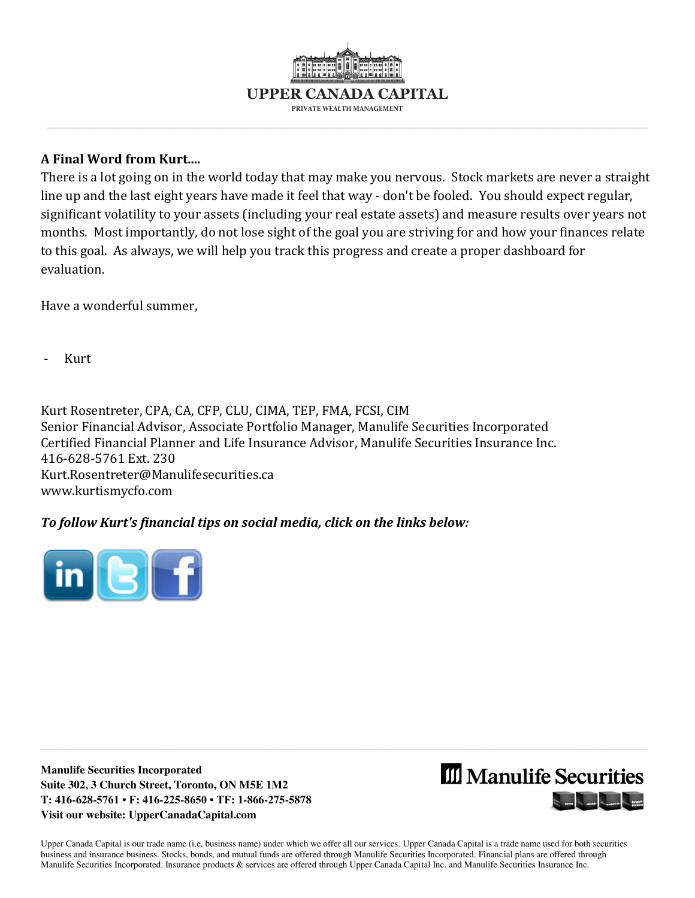

## **A Final Word from Kurt....**

There is a lot going on in the world today that may make you nervous. Stock markets are never a straight line up and the last eight years have made it feel that way - don't be fooled. You should expect regular, significant volatility to your assets (including your real estate assets) and measure results over years not months. Most importantly, do not lose sight of the goal you are striving for and how your finances relate to this goal. As always, we will help you track this progress and create a proper dashboard for evaluation.

Have a wonderful summer,

- Kurt

Kurt Rosentreter, CPA, CA, CFP, CLU, CIMA, TEP, FMA, FCSI, CIM Senior Financial Advisor, Associate Portfolio Manager, Manulife Securities Incorporated Certified Financial Planner and Life Insurance Advisor, Manulife Securities Insurance Inc. 416-628-5761 Ext. 230 [Kurt.Rosentreter@Manulifesecurities.ca](mailto:Kurt.Rosentreter@Manulifesecurities.ca)  [www.kurtismycfo.com](http://www.kurtismycfo.com/) 

## *To follow Kurt's financial tips on social media, click on the links below:*



**Manulife Securities Incorporated Suite 302, 3 Church Street, Toronto, ON M5E 1M2 T: 416-628-5761 • F: 416-225-8650 • TF: 1-866-275-5878 Visit our website: UpperCanadaCapital.com** 



Upper Canada Capital is our trade name (i.e. business name) under which we offer all our services. Upper Canada Capital is a trade name used for both securities business and insurance business. Stocks, bonds, and mutual funds are offered through Manulife Securities Incorporated. Financial plans are offered through Manulife Securities Incorporated. Insurance products & services are offered through Upper Canada Capital Inc. and Manulife Securities Insurance Inc.

\_\_\_\_\_\_\_\_\_\_\_\_\_\_\_\_\_\_\_\_\_\_\_\_\_\_\_\_\_\_\_\_\_\_\_\_\_\_\_\_\_\_\_\_\_\_\_\_\_\_\_\_\_\_\_\_\_\_\_\_\_\_\_\_\_\_\_\_\_\_\_\_\_\_\_\_\_\_\_\_\_\_\_\_\_\_\_\_\_\_\_\_\_\_\_\_\_\_\_\_\_\_\_\_\_\_\_\_\_\_\_\_\_\_\_\_\_\_\_\_